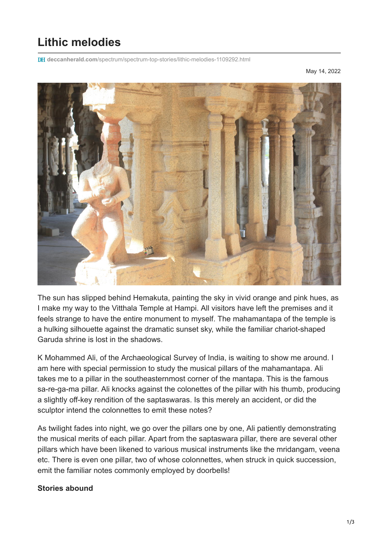## **Lithic melodies**

**deccanherald.com**[/spectrum/spectrum-top-stories/lithic-melodies-1109292.html](https://www.deccanherald.com/spectrum/spectrum-top-stories/lithic-melodies-1109292.html)

May 14, 2022



The sun has slipped behind Hemakuta, painting the sky in vivid orange and pink hues, as I make my way to the Vitthala Temple at Hampi. All visitors have left the premises and it feels strange to have the entire monument to myself. The mahamantapa of the temple is a hulking silhouette against the dramatic sunset sky, while the familiar chariot-shaped Garuda shrine is lost in the shadows.

K Mohammed Ali, of the Archaeological Survey of India, is waiting to show me around. I am here with special permission to study the musical pillars of the mahamantapa. Ali takes me to a pillar in the southeasternmost corner of the mantapa. This is the famous sa-re-ga-ma pillar. Ali knocks against the colonettes of the pillar with his thumb, producing a slightly off-key rendition of the saptaswaras. Is this merely an accident, or did the sculptor intend the colonnettes to emit these notes?

As twilight fades into night, we go over the pillars one by one, Ali patiently demonstrating the musical merits of each pillar. Apart from the saptaswara pillar, there are several other pillars which have been likened to various musical instruments like the mridangam, veena etc. There is even one pillar, two of whose colonnettes, when struck in quick succession, emit the familiar notes commonly employed by doorbells!

## **Stories abound**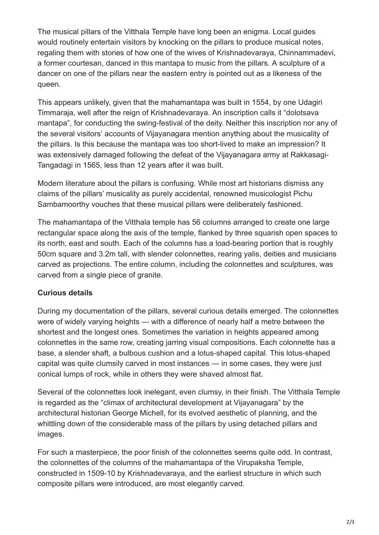The musical pillars of the Vitthala Temple have long been an enigma. Local guides would routinely entertain visitors by knocking on the pillars to produce musical notes, regaling them with stories of how one of the wives of Krishnadevaraya, Chinnammadevi, a former courtesan, danced in this mantapa to music from the pillars. A sculpture of a dancer on one of the pillars near the eastern entry is pointed out as a likeness of the queen.

This appears unlikely, given that the mahamantapa was built in 1554, by one Udagiri Timmaraja, well after the reign of Krishnadevaraya. An inscription calls it "dolotsava mantapa", for conducting the swing-festival of the deity. Neither this inscription nor any of the several visitors' accounts of Vijayanagara mention anything about the musicality of the pillars. Is this because the mantapa was too short-lived to make an impression? It was extensively damaged following the defeat of the Vijayanagara army at Rakkasagi-Tangadagi in 1565, less than 12 years after it was built.

Modern literature about the pillars is confusing. While most art historians dismiss any claims of the pillars' musicality as purely accidental, renowned musicologist Pichu Sambamoorthy vouches that these musical pillars were deliberately fashioned.

The mahamantapa of the Vitthala temple has 56 columns arranged to create one large rectangular space along the axis of the temple, flanked by three squarish open spaces to its north, east and south. Each of the columns has a load-bearing portion that is roughly 50cm square and 3.2m tall, with slender colonnettes, rearing yalis, deities and musicians carved as projections. The entire column, including the colonnettes and sculptures, was carved from a single piece of granite.

## **Curious details**

During my documentation of the pillars, several curious details emerged. The colonnettes were of widely varying heights — with a difference of nearly half a metre between the shortest and the longest ones. Sometimes the variation in heights appeared among colonnettes in the same row, creating jarring visual compositions. Each colonnette has a base, a slender shaft, a bulbous cushion and a lotus-shaped capital. This lotus-shaped capital was quite clumsily carved in most instances — in some cases, they were just conical lumps of rock, while in others they were shaved almost flat.

Several of the colonnettes look inelegant, even clumsy, in their finish. The Vitthala Temple is regarded as the "climax of architectural development at Vijayanagara" by the architectural historian George Michell, for its evolved aesthetic of planning, and the whittling down of the considerable mass of the pillars by using detached pillars and images.

For such a masterpiece, the poor finish of the colonnettes seems quite odd. In contrast, the colonnettes of the columns of the mahamantapa of the Virupaksha Temple, constructed in 1509-10 by Krishnadevaraya, and the earliest structure in which such composite pillars were introduced, are most elegantly carved.